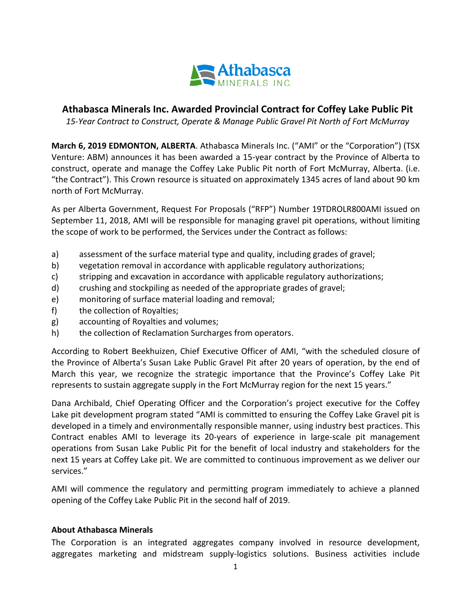

## **Athabasca Minerals Inc. Awarded Provincial Contract for Coffey Lake Public Pit**

*15-Year Contract to Construct, Operate & Manage Public Gravel Pit North of Fort McMurray*

**March 6, 2019 EDMONTON, ALBERTA**. Athabasca Minerals Inc. ("AMI" or the "Corporation") (TSX Venture: ABM) announces it has been awarded a 15-year contract by the Province of Alberta to construct, operate and manage the Coffey Lake Public Pit north of Fort McMurray, Alberta. (i.e. "the Contract"). This Crown resource is situated on approximately 1345 acres of land about 90 km north of Fort McMurray.

As per Alberta Government, Request For Proposals ("RFP") Number 19TDROLR800AMI issued on September 11, 2018, AMI will be responsible for managing gravel pit operations, without limiting the scope of work to be performed, the Services under the Contract as follows:

- a) assessment of the surface material type and quality, including grades of gravel;
- b) vegetation removal in accordance with applicable regulatory authorizations;
- c) stripping and excavation in accordance with applicable regulatory authorizations;
- d) crushing and stockpiling as needed of the appropriate grades of gravel;
- e) monitoring of surface material loading and removal;
- f) the collection of Royalties;
- g) accounting of Royalties and volumes;
- h) the collection of Reclamation Surcharges from operators.

According to Robert Beekhuizen, Chief Executive Officer of AMI, "with the scheduled closure of the Province of Alberta's Susan Lake Public Gravel Pit after 20 years of operation, by the end of March this year, we recognize the strategic importance that the Province's Coffey Lake Pit represents to sustain aggregate supply in the Fort McMurray region for the next 15 years."

Dana Archibald, Chief Operating Officer and the Corporation's project executive for the Coffey Lake pit development program stated "AMI is committed to ensuring the Coffey Lake Gravel pit is developed in a timely and environmentally responsible manner, using industry best practices. This Contract enables AMI to leverage its 20-years of experience in large-scale pit management operations from Susan Lake Public Pit for the benefit of local industry and stakeholders for the next 15 years at Coffey Lake pit. We are committed to continuous improvement as we deliver our services."

AMI will commence the regulatory and permitting program immediately to achieve a planned opening of the Coffey Lake Public Pit in the second half of 2019.

## **About Athabasca Minerals**

The Corporation is an integrated aggregates company involved in resource development, aggregates marketing and midstream supply-logistics solutions. Business activities include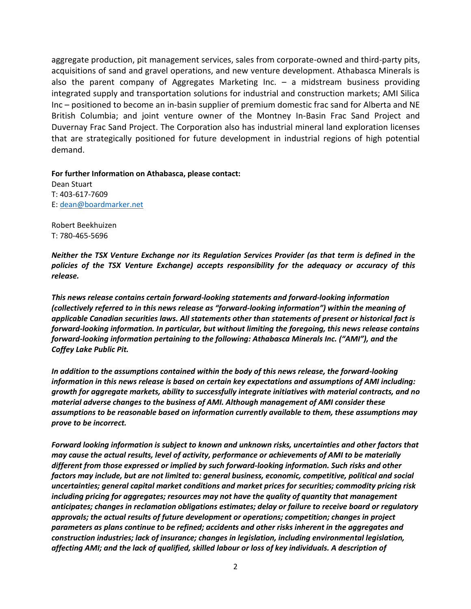aggregate production, pit management services, sales from corporate-owned and third-party pits, acquisitions of sand and gravel operations, and new venture development. Athabasca Minerals is also the parent company of Aggregates Marketing Inc. – a midstream business providing integrated supply and transportation solutions for industrial and construction markets; AMI Silica Inc – positioned to become an in-basin supplier of premium domestic frac sand for Alberta and NE British Columbia; and joint venture owner of the Montney In-Basin Frac Sand Project and Duvernay Frac Sand Project. The Corporation also has industrial mineral land exploration licenses that are strategically positioned for future development in industrial regions of high potential demand.

**For further Information on Athabasca, please contact:**

Dean Stuart T: 403-617-7609 E: [dean@boardmarker.net](mailto:dean@boardmarker.net)

Robert Beekhuizen T: 780-465-5696

*Neither the TSX Venture Exchange nor its Regulation Services Provider (as that term is defined in the policies of the TSX Venture Exchange) accepts responsibility for the adequacy or accuracy of this release.*

*This news release contains certain forward-looking statements and forward-looking information (collectively referred to in this news release as "forward-looking information") within the meaning of applicable Canadian securities laws. All statements other than statements of present or historical fact is forward-looking information. In particular, but without limiting the foregoing, this news release contains forward-looking information pertaining to the following: Athabasca Minerals Inc. ("AMI"), and the Coffey Lake Public Pit.* 

*In addition to the assumptions contained within the body of this news release, the forward-looking information in this news release is based on certain key expectations and assumptions of AMI including: growth for aggregate markets, ability to successfully integrate initiatives with material contracts, and no material adverse changes to the business of AMI. Although management of AMI consider these assumptions to be reasonable based on information currently available to them, these assumptions may prove to be incorrect.*

*Forward looking information is subject to known and unknown risks, uncertainties and other factors that may cause the actual results, level of activity, performance or achievements of AMI to be materially different from those expressed or implied by such forward-looking information. Such risks and other factors may include, but are not limited to: general business, economic, competitive, political and social uncertainties; general capital market conditions and market prices for securities; commodity pricing risk including pricing for aggregates; resources may not have the quality of quantity that management anticipates; changes in reclamation obligations estimates; delay or failure to receive board or regulatory approvals; the actual results of future development or operations; competition; changes in project parameters as plans continue to be refined; accidents and other risks inherent in the aggregates and construction industries; lack of insurance; changes in legislation, including environmental legislation, affecting AMI; and the lack of qualified, skilled labour or loss of key individuals. A description of*